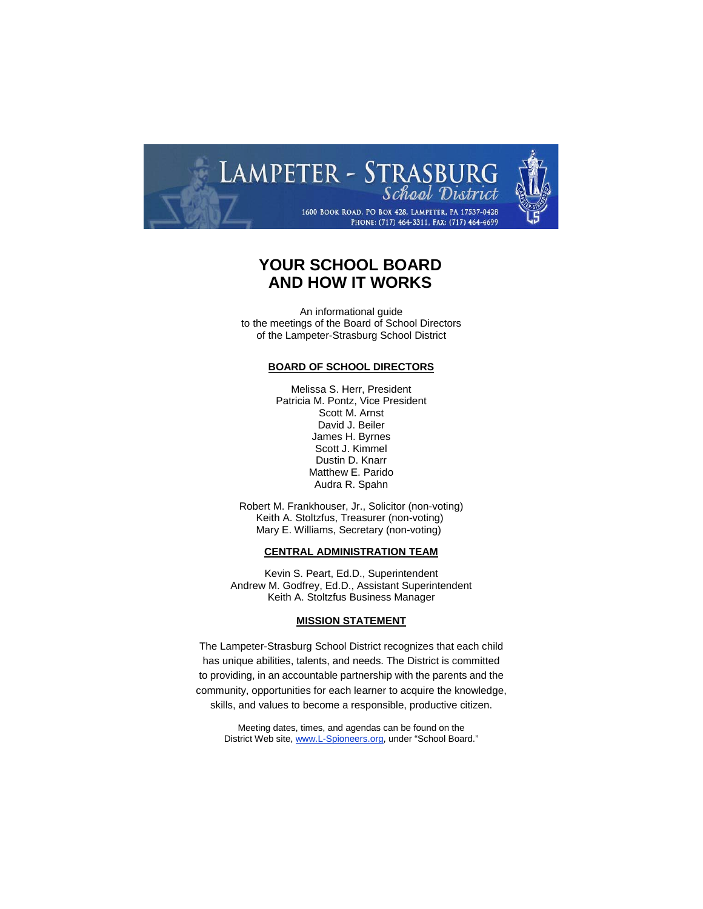

# **YOUR SCHOOL BOARD AND HOW IT WORKS**

An informational guide to the meetings of the Board of School Directors of the Lampeter-Strasburg School District

# **BOARD OF SCHOOL DIRECTORS**

Melissa S. Herr, President Patricia M. Pontz, Vice President Scott M. Arnst David J. Beiler James H. Byrnes Scott J. Kimmel Dustin D. Knarr Matthew E. Parido Audra R. Spahn

Robert M. Frankhouser, Jr., Solicitor (non-voting) Keith A. Stoltzfus, Treasurer (non-voting) Mary E. Williams, Secretary (non-voting)

### **CENTRAL ADMINISTRATION TEAM**

Kevin S. Peart, Ed.D., Superintendent Andrew M. Godfrey, Ed.D., Assistant Superintendent Keith A. Stoltzfus Business Manager

### **MISSION STATEMENT**

The Lampeter-Strasburg School District recognizes that each child has unique abilities, talents, and needs. The District is committed to providing, in an accountable partnership with the parents and the community, opportunities for each learner to acquire the knowledge, skills, and values to become a responsible, productive citizen.

Meeting dates, times, and agendas can be found on the District Web site[, www.L-Spioneers.org,](http://www.l-spioneers.org/) under "School Board."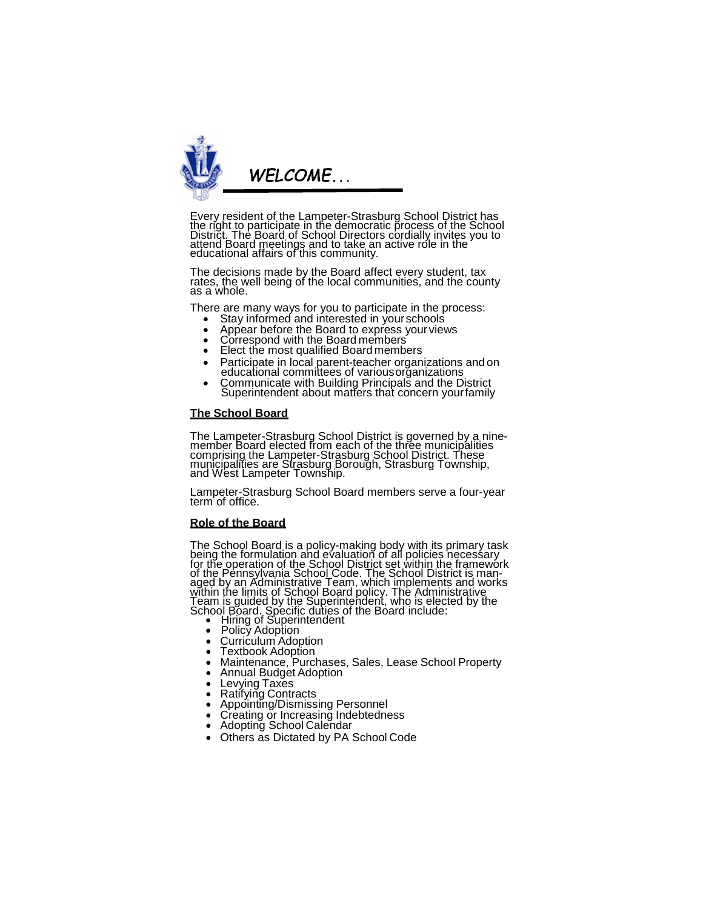

Every resident of the Lampeter-Strasburg School District has<br>the right to participate in the democratic process of the School District. The Board of School Directors cordially invites you to attend Board meetings and to take an active role in the educational affairs of this community.

The decisions made by the Board affect every student, tax rates, the well being of the local communities, and the county as a whole.

There are many ways for you to participate in the process:<br>
• Stay informed and interested in your schools<br>
• Appear before the Board to express your views<br>
• Correspond with the Board members<br>
• Elect the most qualified B

- 
- 
- 
- 
- Participate in local parent-teacher organizations and on educational committees of variousorganizations • Communicate with Building Principals and the District
- Superintendent about matters that concern yourfamily

### **The School Board**

The Lampeter-Strasburg School District is governed by a nine- member Board elected from each of the three municipalities comprising the Lampeter-Strasburg School District. These<br>municipalities are Strasburg Borough, Strasburg Township, and West Lampeter Township.

Lampeter-Strasburg School Board members serve a four-year term of office.

# **Role of the Board**

The School Board is a policy-making body with its primary task<br>being the formulation and evaluation of all policies necessary for the operation of the School District set within the framework of the Pennsylvania School Code. The School District is man-<br>aged by an Administrative Team, which <u>im</u>plements and works within the limits of School Board policy. The Administrative Team is guided by the Superintehdent, who is elected by the<br>School Board. Specific duties of the Board include:<br>
• Hiring of Superintendent<br>
• Policy Adoption<br>
• Curiculum Adoption<br>
• Textbook Adoption<br>
• Maintenance, Purc

- 
- 
- 
- 
- 
- 
- 
- 
- **Exatifying Contracts<br>
Appointing/Dismissing Personnel<br>
Creating or Increasing Indebtedness<br>
Adopting School Calendar<br>
Others as Dictated by PA School Code**
- 
- 
-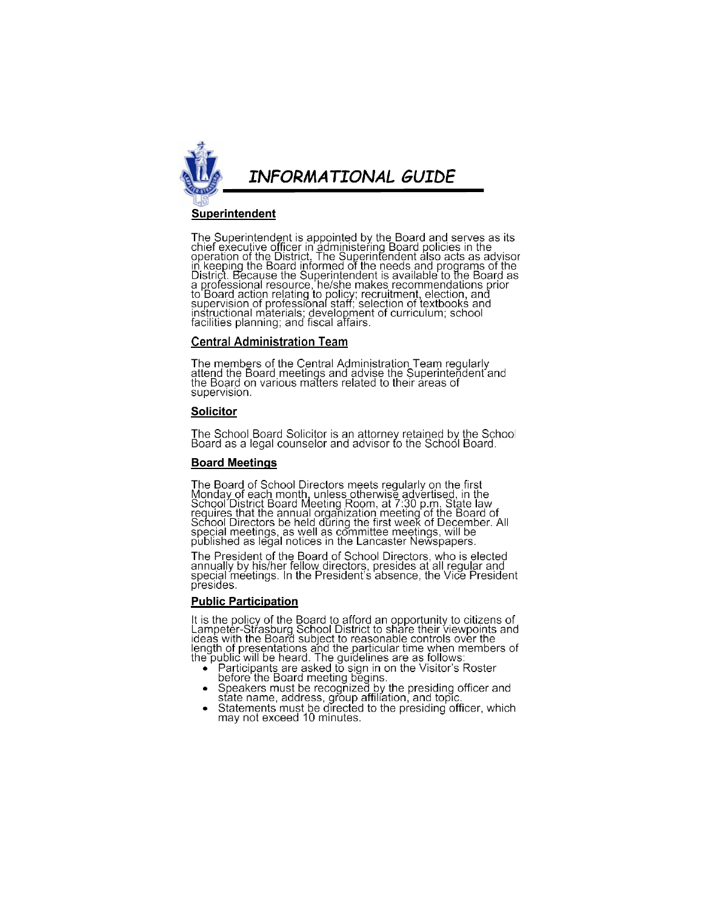

# Superintendent

The Superintendent is appointed by the Board and serves as its<br>chief executive officer in administering Board policies in the<br>operation of the District. The Superintendent also acts as advisor<br>in keeping the Board informed

# **Central Administration Team**

The members of the Central Administration Team regularly<br>attend the Board meetings and advise the Superintendent and<br>the Board on various matters related to their areas of supervision.

# **Solicitor**

The School Board Solicitor is an attorney retained by the School<br>Board as a legal counselor and advisor to the School Board.

# **Board Meetings**

The Board of School Directors meets regularly on the first<br>Monday of each month, unless otherwise advertised, in the<br>School District Board Meeting Room, at 7:30 p.m. State law<br>requires that the annual organization meeting

The President of the Board of School Directors, who is elected<br>annually by his/her fellow directors, presides at all regular and<br>special meetings. In the President's absence, the Vice President presides.

# **Public Participation**

It is the policy of the Board to afford an opportunity to citizens of<br>Lampeter-Strasburg School District to share their viewpoints and<br>ideas with the Board subject to reasonable controls over the Figure of the particular time when members of<br>the public will be heard. The guidelines are as follows:<br>• Participants are asked to sign in on the Visitor's Roster

- 
- Patitipality are assetted to style in the visitor's Roster<br>Speakers must be recognized by the presiding officer and<br>state name, address, group affiliation, and topic.<br>Statements must be directed to the presiding officer, w
-